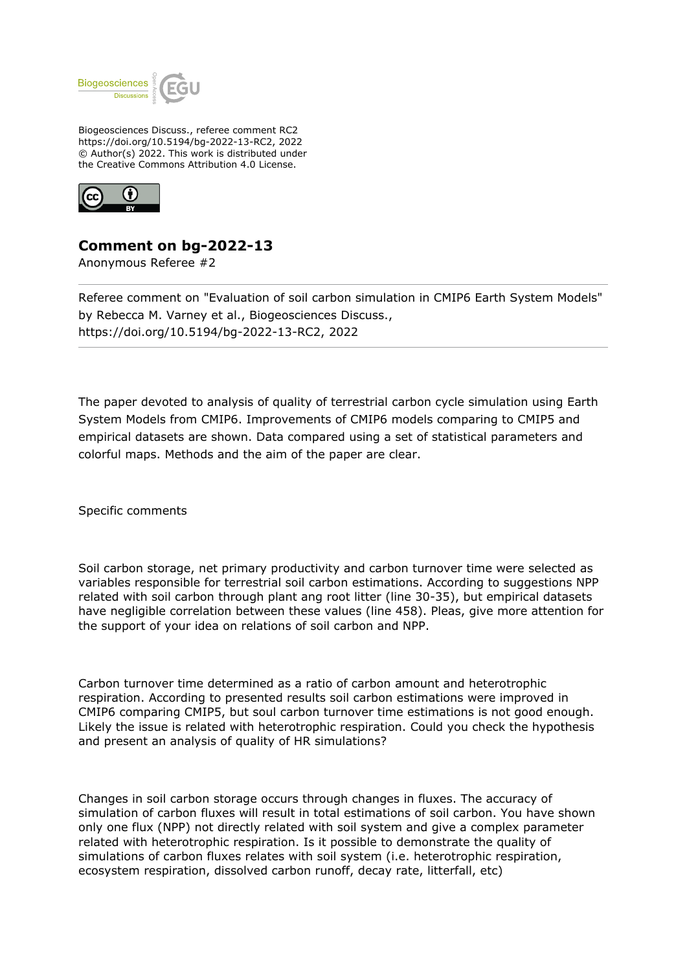

Biogeosciences Discuss., referee comment RC2 https://doi.org/10.5194/bg-2022-13-RC2, 2022 © Author(s) 2022. This work is distributed under the Creative Commons Attribution 4.0 License.



## **Comment on bg-2022-13**

Anonymous Referee #2

Referee comment on "Evaluation of soil carbon simulation in CMIP6 Earth System Models" by Rebecca M. Varney et al., Biogeosciences Discuss., https://doi.org/10.5194/bg-2022-13-RC2, 2022

The paper devoted to analysis of quality of terrestrial carbon cycle simulation using Earth System Models from CMIP6. Improvements of CMIP6 models comparing to CMIP5 and empirical datasets are shown. Data compared using a set of statistical parameters and colorful maps. Methods and the aim of the paper are clear.

Specific comments

Soil carbon storage, net primary productivity and carbon turnover time were selected as variables responsible for terrestrial soil carbon estimations. According to suggestions NPP related with soil carbon through plant ang root litter (line 30-35), but empirical datasets have negligible correlation between these values (line 458). Pleas, give more attention for the support of your idea on relations of soil carbon and NPP.

Carbon turnover time determined as a ratio of carbon amount and heterotrophic respiration. According to presented results soil carbon estimations were improved in CMIP6 comparing CMIP5, but soul carbon turnover time estimations is not good enough. Likely the issue is related with heterotrophic respiration. Could you check the hypothesis and present an analysis of quality of HR simulations?

Changes in soil carbon storage occurs through changes in fluxes. The accuracy of simulation of carbon fluxes will result in total estimations of soil carbon. You have shown only one flux (NPP) not directly related with soil system and give a complex parameter related with heterotrophic respiration. Is it possible to demonstrate the quality of simulations of carbon fluxes relates with soil system (i.e. heterotrophic respiration, ecosystem respiration, dissolved carbon runoff, decay rate, litterfall, etc)